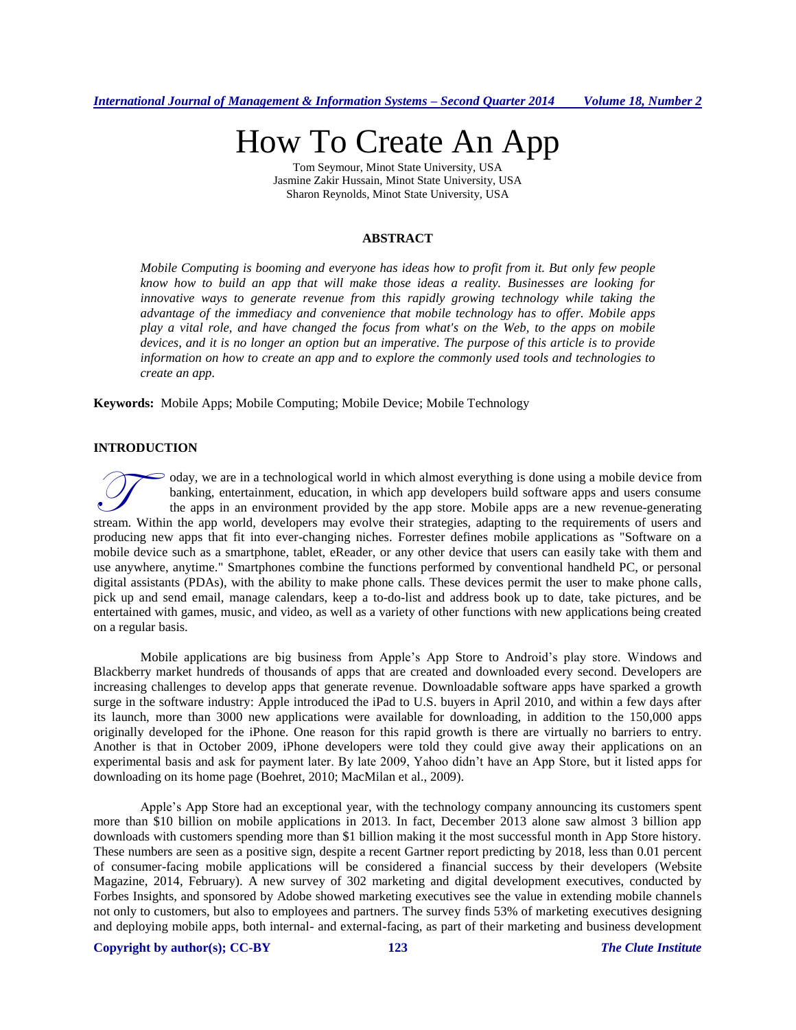# How To Create An App

Tom Seymour, Minot State University, USA Jasmine Zakir Hussain, Minot State University, USA Sharon Reynolds, Minot State University, USA

# **ABSTRACT**

*Mobile Computing is booming and everyone has ideas how to profit from it. But only few people know how to build an app that will make those ideas a reality. Businesses are looking for innovative ways to generate revenue from this rapidly growing technology while taking the advantage of the immediacy and convenience that mobile technology has to offer. Mobile apps play a vital role, and have changed the focus from what's on the Web, to the apps on mobile devices, and it is no longer an option but an imperative. The purpose of this article is to provide information on how to create an app and to explore the commonly used tools and technologies to create an app.*

**Keywords:** Mobile Apps; Mobile Computing; Mobile Device; Mobile Technology

#### **INTRODUCTION**

oday, we are in a technological world in which almost everything is done using a mobile device from banking, entertainment, education, in which app developers build software apps and users consume the apps in an environment provided by the app store. Mobile apps are a new revenue-generating oday, we are in a technological world in which almost everything is done using a mobile device from banking, entertainment, education, in which app developers build software apps and users consume the apps in an environmen producing new apps that fit into ever-changing niches. Forrester defines mobile applications as "Software on a mobile device such as a smartphone, tablet, eReader, or any other device that users can easily take with them and use anywhere, anytime." Smartphones combine the functions performed by conventional handheld PC, or personal digital assistants (PDAs), with the ability to make phone calls. These devices permit the user to make phone calls, pick up and send email, manage calendars, keep a to-do-list and address book up to date, take pictures, and be entertained with games, music, and video, as well as a variety of other functions with new applications being created on a regular basis.

Mobile applications are big business from Apple's App Store to Android's play store. Windows and Blackberry market hundreds of thousands of apps that are created and downloaded every second. Developers are increasing challenges to develop apps that generate revenue. Downloadable software apps have sparked a growth surge in the software industry: Apple introduced the iPad to U.S. buyers in April 2010, and within a few days after its launch, more than 3000 new applications were available for downloading, in addition to the 150,000 apps originally developed for the iPhone. One reason for this rapid growth is there are virtually no barriers to entry. Another is that in October 2009, iPhone developers were told they could give away their applications on an experimental basis and ask for payment later. By late 2009, Yahoo didn't have an App Store, but it listed apps for downloading on its home page (Boehret, 2010; MacMilan et al., 2009).

Apple's App Store had an exceptional year, with the technology company announcing its customers spent more than \$10 billion on mobile applications in 2013. In fact, December 2013 alone saw almost 3 billion app downloads with customers spending more than \$1 billion making it the most successful month in App Store history. These numbers are seen as a positive sign, despite a recent Gartner report predicting by 2018, less than 0.01 percent of consumer-facing mobile applications will be considered a financial success by their developers (Website Magazine, 2014, February). A new survey of 302 marketing and digital development executives, conducted by Forbes Insights, and sponsored by Adobe showed marketing executives see the value in extending mobile channels not only to customers, but also to employees and partners. The survey finds 53% of marketing executives designing and deploying mobile apps, both internal- and external-facing, as part of their marketing and business development

# **Copyright by author(s); CC-BY 123** *The Clute Institute*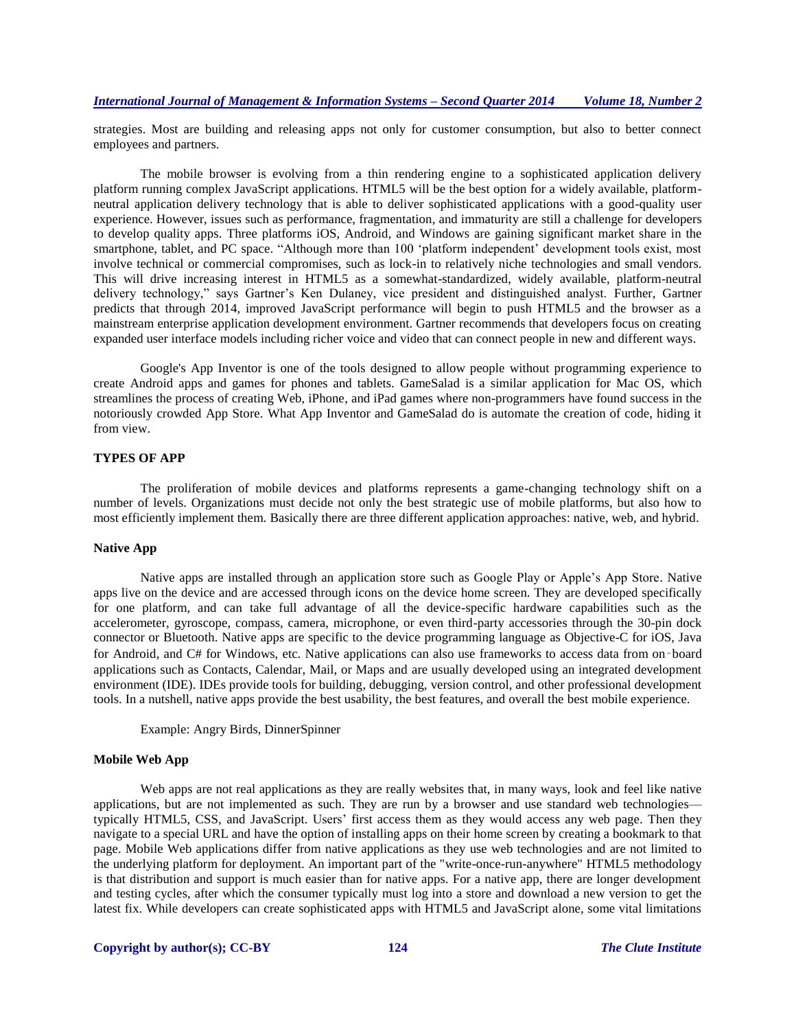strategies. Most are building and releasing apps not only for customer consumption, but also to better connect employees and partners.

The mobile browser is evolving from a thin rendering engine to a sophisticated application delivery platform running complex JavaScript applications. HTML5 will be the best option for a widely available, platformneutral application delivery technology that is able to deliver sophisticated applications with a good-quality user experience. However, issues such as performance, fragmentation, and immaturity are still a challenge for developers to develop quality apps. Three platforms iOS, Android, and Windows are gaining significant market share in the smartphone, tablet, and PC space. "Although more than 100 'platform independent' development tools exist, most involve technical or commercial compromises, such as lock-in to relatively niche technologies and small vendors. This will drive increasing interest in HTML5 as a somewhat-standardized, widely available, platform-neutral delivery technology," says Gartner's Ken Dulaney, vice president and distinguished analyst. Further, Gartner predicts that through 2014, improved JavaScript performance will begin to push HTML5 and the browser as a mainstream enterprise application development environment. Gartner recommends that developers focus on creating expanded user interface models including richer voice and video that can connect people in new and different ways.

Google's App Inventor is one of the tools designed to allow people without programming experience to create Android apps and games for phones and tablets. GameSalad is a similar application for Mac OS, which streamlines the process of creating Web, iPhone, and iPad games where non-programmers have found success in the notoriously crowded App Store. What App Inventor and GameSalad do is automate the creation of code, hiding it from view.

# **TYPES OF APP**

The proliferation of mobile devices and platforms represents a game-changing technology shift on a number of levels. Organizations must decide not only the best strategic use of mobile platforms, but also how to most efficiently implement them. Basically there are three different application approaches: native, web, and hybrid.

#### **Native App**

Native apps are installed through an application store such as Google Play or Apple's App Store. Native apps live on the device and are accessed through icons on the device home screen. They are developed specifically for one platform, and can take full advantage of all the device-specific hardware capabilities such as the accelerometer, gyroscope, compass, camera, microphone, or even third-party accessories through the 30-pin dock connector or Bluetooth. Native apps are specific to the device programming language as Objective-C for iOS, Java for Android, and C# for Windows, etc. Native applications can also use frameworks to access data from on -board applications such as Contacts, Calendar, Mail, or Maps and are usually developed using an integrated development environment (IDE). IDEs provide tools for building, debugging, version control, and other professional development tools. In a nutshell, native apps provide the best usability, the best features, and overall the best mobile experience.

Example: Angry Birds, DinnerSpinner

# **Mobile Web App**

Web apps are not real applications as they are really websites that, in many ways, look and feel like native applications, but are not implemented as such. They are run by a browser and use standard web technologies typically HTML5, CSS, and JavaScript. Users' first access them as they would access any web page. Then they navigate to a special URL and have the option of installing apps on their home screen by creating a bookmark to that page. Mobile Web applications differ from native applications as they use web technologies and are not limited to the underlying platform for deployment. An important part of the "write-once-run-anywhere" HTML5 methodology is that distribution and support is much easier than for native apps. For a native app, there are longer development and testing cycles, after which the consumer typically must log into a store and download a new version to get the latest fix. While developers can create sophisticated apps with HTML5 and JavaScript alone, some vital limitations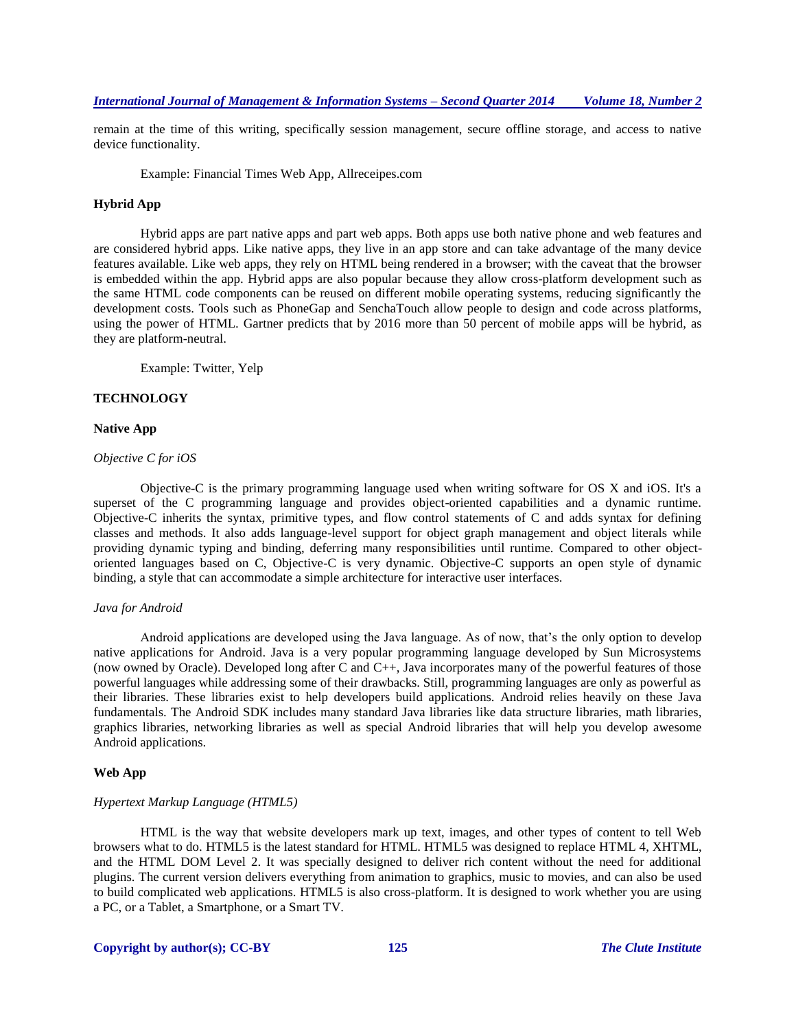remain at the time of this writing, specifically session management, secure offline storage, and access to native device functionality.

Example: Financial Times Web App, Allreceipes.com

## **Hybrid App**

Hybrid apps are part native apps and part web apps. Both apps use both native phone and web features and are considered hybrid apps. Like native apps, they live in an app store and can take advantage of the many device features available. Like web apps, they rely on HTML being rendered in a browser; with the caveat that the browser is embedded within the app. Hybrid apps are also popular because they allow cross-platform development such as the same HTML code components can be reused on different mobile operating systems, reducing significantly the development costs. Tools such as PhoneGap and SenchaTouch allow people to design and code across platforms, using the power of HTML. Gartner predicts that by 2016 [more than 50 percent](http://www.eweek.com/small-business/mobile-app-development-requires-hybrid-approach-gartner/) of mobile apps will be hybrid, as they are platform-neutral.

Example: Twitter, Yelp

#### **TECHNOLOGY**

# **Native App**

# *Objective C for iOS*

Objective-C is the primary programming language used when writing software for OS X and iOS. It's a superset of the C programming language and provides object-oriented capabilities and a dynamic runtime. Objective-C inherits the syntax, primitive types, and flow control statements of C and adds syntax for defining classes and methods. It also adds language-level support for object graph management and object literals while providing dynamic typing and binding, deferring many responsibilities until runtime. Compared to other objectoriented languages based on C, Objective-C is very dynamic. Objective-C supports an open style of dynamic binding, a style that can accommodate a simple architecture for interactive user interfaces.

#### *Java for Android*

Android applications are developed using the Java language. As of now, that's the only option to develop native applications for Android. Java is a very popular programming language developed by Sun Microsystems (now owned by Oracle). Developed long after C and C++, Java incorporates many of the powerful features of those powerful languages while addressing some of their drawbacks. Still, programming languages are only as powerful as their libraries. These libraries exist to help developers build applications. Android relies heavily on these Java fundamentals. The Android SDK includes many standard Java libraries like data structure libraries, math libraries, graphics libraries, networking libraries as well as special Android libraries that will help you develop awesome Android applications.

## **Web App**

#### *Hypertext Markup Language (HTML5)*

HTML is the way that website developers mark up text, images, and other types of content to tell Web browsers what to do. HTML5 is the latest standard for HTML. HTML5 was designed to replace HTML 4, XHTML, and the HTML DOM Level 2. It was specially designed to deliver rich content without the need for additional plugins. The current version delivers everything from animation to graphics, music to movies, and can also be used to build complicated web applications. HTML5 is also cross-platform. It is designed to work whether you are using a PC, or a Tablet, a Smartphone, or a Smart TV.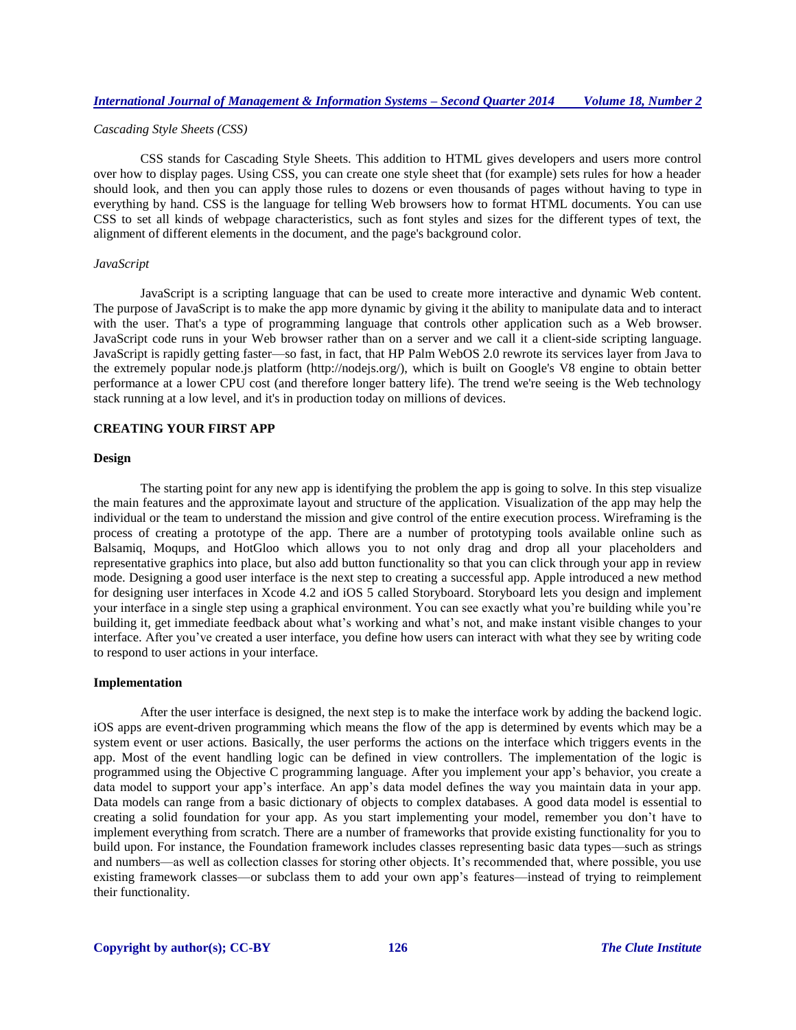### *Cascading Style Sheets (CSS)*

CSS stands for Cascading Style Sheets. This addition to HTML gives developers and users more control over how to display pages. Using CSS, you can create one style sheet that (for example) sets rules for how a header should look, and then you can apply those rules to dozens or even thousands of pages without having to type in everything by hand. CSS is the language for telling Web browsers how to format HTML documents. You can use CSS to set all kinds of webpage characteristics, such as font styles and sizes for the different types of text, the alignment of different elements in the document, and the page's background color.

## *JavaScript*

JavaScript is a scripting language that can be used to create more interactive and dynamic Web content. The purpose of JavaScript is to make the app more dynamic by giving it the ability to manipulate data and to interact with the user. That's a type of programming language that controls other application such as a Web browser. JavaScript code runs in your Web browser rather than on a server and we call it a client-side scripting language. JavaScript is rapidly getting faster—so fast, in fact, that HP Palm WebOS 2.0 rewrote its services layer from Java to the extremely popular node.js platform (http://nodejs.org/), which is built on Google's V8 engine to obtain better performance at a lower CPU cost (and therefore longer battery life). The trend we're seeing is the Web technology stack running at a low level, and it's in production today on millions of devices.

# **CREATING YOUR FIRST APP**

## **Design**

The starting point for any new app is identifying the problem the app is going to solve. In this step visualize the main features and the approximate layout and structure of the application. Visualization of the app may help the individual or the team to understand the mission and give control of the entire execution process. Wireframing is the process of creating a prototype of the app. There are a number of prototyping tools available online such as Balsamiq, Moqups, and HotGloo which allows you to not only drag and drop all your placeholders and representative graphics into place, but also add button functionality so that you can click through your app in review mode. Designing a good user interface is the next step to creating a successful app. Apple introduced a new method for designing user interfaces in Xcode 4.2 and iOS 5 called Storyboard. Storyboard lets you design and implement your interface in a single step using a graphical environment. You can see exactly what you're building while you're building it, get immediate feedback about what's working and what's not, and make instant visible changes to your interface. After you've created a user interface, you define how users can interact with what they see by writing code to respond to user actions in your interface.

#### **Implementation**

After the user interface is designed, the next step is to make the interface work by adding the backend logic. iOS apps are event-driven programming which means the flow of the app is determined by events which may be a system event or user actions. Basically, the user performs the actions on the interface which triggers events in the app. Most of the event handling logic can be defined in view controllers. The implementation of the logic is programmed using the Objective C programming language. After you implement your app's behavior, you create a data model to support your app's interface. An app's data model defines the way you maintain data in your app. Data models can range from a basic dictionary of objects to complex databases. A good data model is essential to creating a solid foundation for your app. As you start implementing your model, remember you don't have to implement everything from scratch. There are a number of frameworks that provide existing functionality for you to build upon. For instance, the Foundation framework includes classes representing basic data types—such as strings and numbers—as well as collection classes for storing other objects. It's recommended that, where possible, you use existing framework classes—or subclass them to add your own app's features—instead of trying to reimplement their functionality.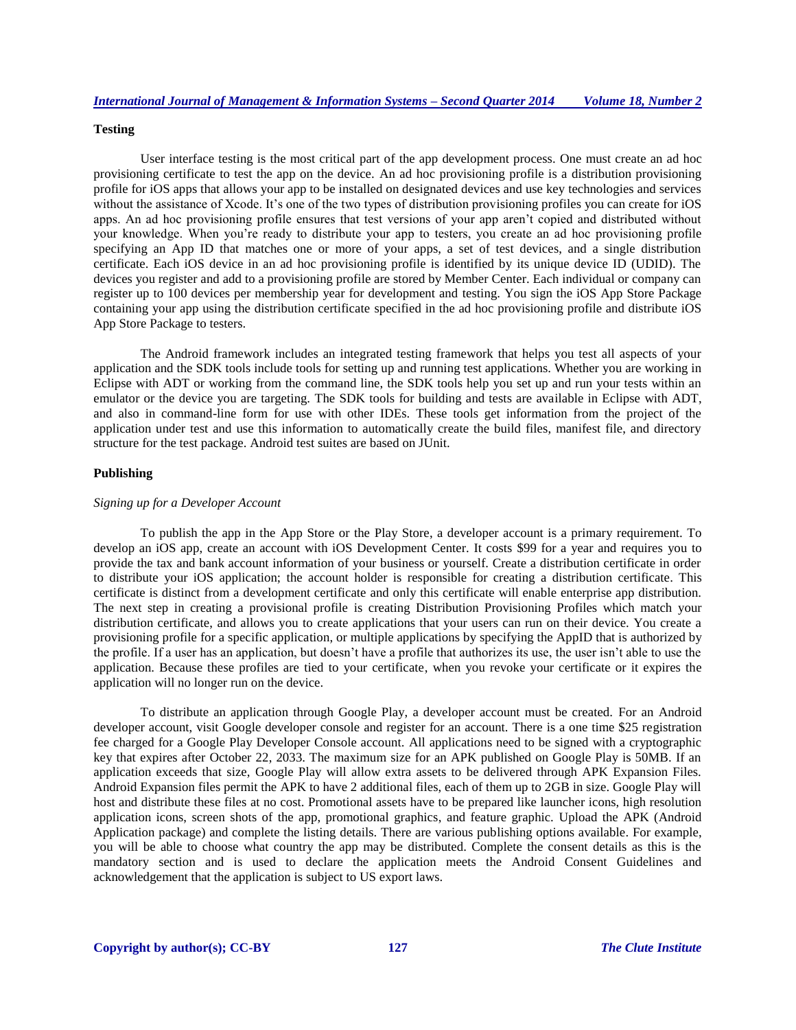## **Testing**

User interface testing is the most critical part of the app development process. One must create an ad hoc provisioning certificate to test the app on the device. An ad hoc provisioning profile is a distribution provisioning profile for iOS apps that allows your app to be installed on designated devices and use key technologies and services without the assistance of Xcode. It's one of the two types of distribution provisioning profiles you can create for iOS apps. An ad hoc provisioning profile ensures that test versions of your app aren't copied and distributed without your knowledge. When you're ready to distribute your app to testers, you create an ad hoc provisioning profile specifying an App ID that matches one or more of your apps, a set of test devices, and a single distribution certificate. Each iOS device in an ad hoc provisioning profile is identified by its unique device ID (UDID). The devices you register and add to a provisioning profile are stored by Member Center. Each individual or company can register up to 100 devices per membership year for development and testing. You sign the iOS App Store Package containing your app using the distribution certificate specified in the ad hoc provisioning profile and distribute iOS App Store Package to testers.

The Android framework includes an integrated testing framework that helps you test all aspects of your application and the SDK tools include tools for setting up and running test applications. Whether you are working in Eclipse with ADT or working from the command line, the SDK tools help you set up and run your tests within an emulator or the device you are targeting. The SDK tools for building and tests are available in Eclipse with ADT, and also in command-line form for use with other IDEs. These tools get information from the project of the application under test and use this information to automatically create the build files, manifest file, and directory structure for the test package. Android test suites are based on JUnit.

#### **Publishing**

#### *Signing up for a Developer Account*

To publish the app in the App Store or the Play Store, a developer account is a primary requirement. To develop an iOS app, create an account with iOS Development Center. It costs \$99 for a year and requires you to provide the tax and bank account information of your business or yourself. Create a distribution certificate in order to distribute your iOS application; the account holder is responsible for creating a distribution certificate. This certificate is distinct from a development certificate and only this certificate will enable enterprise app distribution. The next step in creating a provisional profile is creating Distribution Provisioning Profiles which match your distribution certificate, and allows you to create applications that your users can run on their device. You create a provisioning profile for a specific application, or multiple applications by specifying the AppID that is authorized by the profile. If a user has an application, but doesn't have a profile that authorizes its use, the user isn't able to use the application. Because these profiles are tied to your certificate, when you revoke your certificate or it expires the application will no longer run on the device.

To distribute an application through Google Play, a developer account must be created. For an Android developer account, visit Google developer console and register for an account. There is a one time \$25 registration fee charged for a Google Play Developer Console account. All applications need to be signed with a cryptographic key that expires after October 22, 2033. The maximum size for an APK published on Google Play is 50MB. If an application exceeds that size, Google Play will allow extra assets to be delivered through APK Expansion Files. Android Expansion files permit the APK to have 2 additional files, each of them up to 2GB in size. Google Play will host and distribute these files at no cost. Promotional assets have to be prepared like launcher icons, high resolution application icons, screen shots of the app, promotional graphics, and feature graphic. Upload the APK (Android Application package) and complete the listing details. There are various publishing options available. For example, you will be able to choose what country the app may be distributed. Complete the consent details as this is the mandatory section and is used to declare the application meets the Android Consent Guidelines and acknowledgement that the application is subject to US export laws.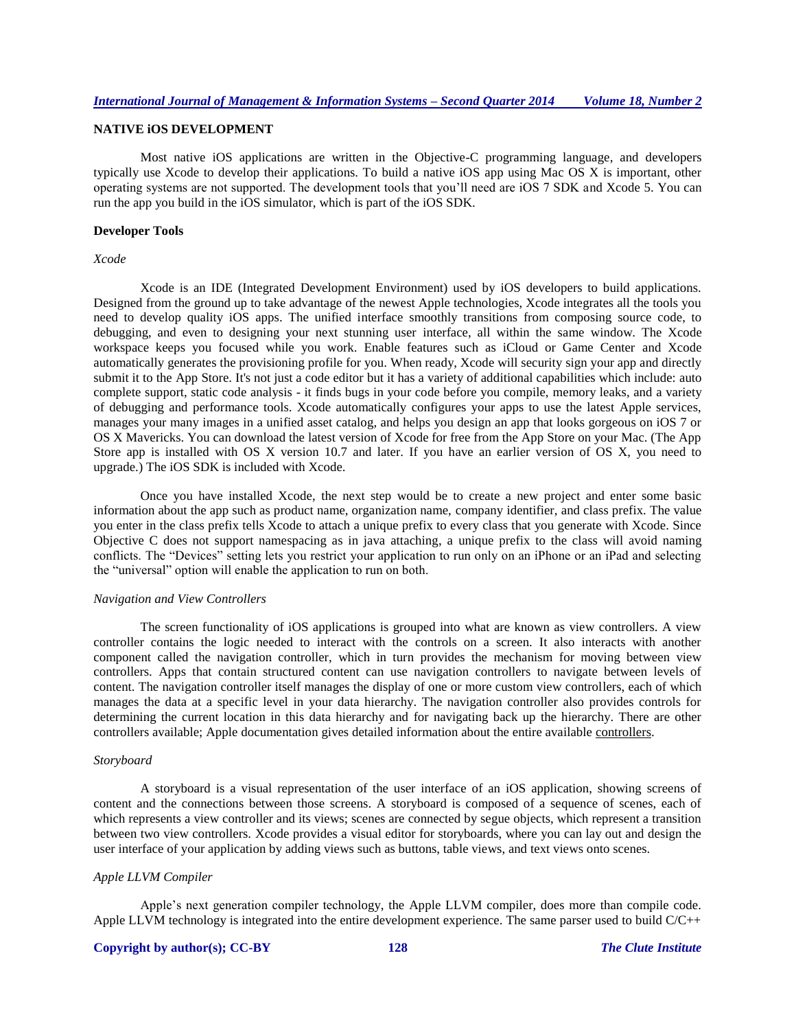# **NATIVE iOS DEVELOPMENT**

Most native iOS applications are written in the Objective-C programming language, and developers typically use Xcode to develop their applications. To build a native iOS app using Mac OS X is important, other operating systems are not supported. The development tools that you'll need are iOS 7 SDK and Xcode 5. You can run the app you build in the iOS simulator, which is part of the iOS SDK.

#### **Developer Tools**

*Xcode*

Xcode is an IDE (Integrated Development Environment) used by iOS developers to build applications. Designed from the ground up to take advantage of the newest Apple technologies, Xcode integrates all the tools you need to develop quality iOS apps. The unified interface smoothly transitions from composing source code, to debugging, and even to designing your next stunning user interface, all within the same window. The Xcode workspace keeps you focused while you work. Enable features such as iCloud or Game Center and Xcode automatically generates the provisioning profile for you. When ready, Xcode will security sign your app and directly submit it to the App Store. It's not just a code editor but it has a variety of additional capabilities which include: auto complete support, static code analysis - it finds bugs in your code before you compile, memory leaks, and a variety of debugging and performance tools. Xcode automatically configures your apps to use the latest Apple services, manages your many images in a unified asset catalog, and helps you design an app that looks gorgeous on iOS 7 or OS X Mavericks. You can download the latest version of Xcode for free from the App Store on your Mac. (The App Store app is installed with OS X version 10.7 and later. If you have an earlier version of OS X, you need to upgrade.) The iOS SDK is included with Xcode.

Once you have installed Xcode, the next step would be to create a new project and enter some basic information about the app such as product name, organization name, company identifier, and class prefix. The value you enter in the class prefix tells Xcode to attach a unique prefix to every class that you generate with Xcode. Since Objective C does not support namespacing as in java attaching, a unique prefix to the class will avoid naming conflicts. The "Devices" setting lets you restrict your application to run only on an iPhone or an iPad and selecting the "universal" option will enable the application to run on both.

#### *Navigation and View Controllers*

The screen functionality of iOS applications is grouped into what are known as view controllers. A view controller contains the logic needed to interact with the controls on a screen. It also interacts with another component called the navigation controller, which in turn provides the mechanism for moving between view controllers. Apps that contain structured content can use navigation controllers to navigate between levels of content. The navigation controller itself manages the display of one or more custom view controllers, each of which manages the data at a specific level in your data hierarchy. The navigation controller also provides controls for determining the current location in this data hierarchy and for navigating back up the hierarchy. There are other controllers available; Apple documentation gives detailed information about the entire available [controllers.](https://developer.apple.com/library/ios/documentation/WindowsViews/Conceptual/ViewControllerCatalog/Introduction.html)

#### *Storyboard*

A storyboard is a visual representation of the user interface of an iOS application, showing screens of content and the connections between those screens. A storyboard is composed of a sequence of scenes, each of which represents a view controller and its views; scenes are connected by segue objects, which represent a transition between two view controllers. Xcode provides a visual editor for storyboards, where you can lay out and design the user interface of your application by adding views such as buttons, table views, and text views onto scenes.

## *Apple LLVM Compiler*

Apple's next generation compiler technology, the Apple LLVM compiler, does more than compile code. Apple LLVM technology is integrated into the entire development experience. The same parser used to build C/C++

# **Copyright by author(s); CC-BY 128** *The Clute Institute*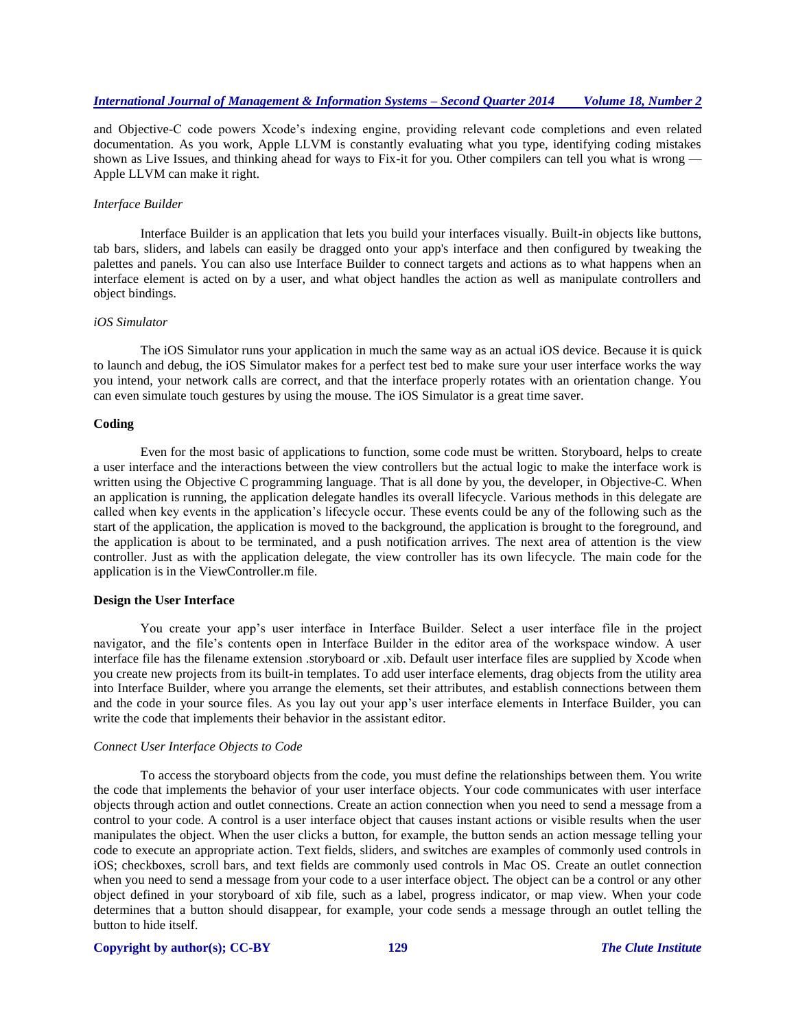and Objective-C code powers Xcode's indexing engine, providing relevant code completions and even related documentation. As you work, Apple LLVM is constantly evaluating what you type, identifying coding mistakes shown as Live Issues, and thinking ahead for ways to Fix-it for you. Other compilers can tell you what is wrong — Apple LLVM can make it right.

## *Interface Builder*

Interface Builder is an application that lets you build your interfaces visually. Built-in objects like buttons, tab bars, sliders, and labels can easily be dragged onto your app's interface and then configured by tweaking the palettes and panels. You can also use Interface Builder to connect targets and actions as to what happens when an interface element is acted on by a user, and what object handles the action as well as manipulate controllers and object bindings.

# *iOS Simulator*

The iOS Simulator runs your application in much the same way as an actual iOS device. Because it is quick to launch and debug, the iOS Simulator makes for a perfect test bed to make sure your user interface works the way you intend, your network calls are correct, and that the interface properly rotates with an orientation change. You can even simulate touch gestures by using the mouse. The iOS Simulator is a great time saver.

## **Coding**

Even for the most basic of applications to function, some code must be written. Storyboard, helps to create a user interface and the interactions between the view controllers but the actual logic to make the interface work is written using the Objective C programming language. That is all done by you, the developer, in Objective-C. When an application is running, the application delegate handles its overall lifecycle. Various methods in this delegate are called when key events in the application's lifecycle occur. These events could be any of the following such as the start of the application, the application is moved to the background, the application is brought to the foreground, and the application is about to be terminated, and a push notification arrives. The next area of attention is the view controller. Just as with the application delegate, the view controller has its own lifecycle. The main code for the application is in the ViewController.m file.

#### **Design the User Interface**

You create your app's user interface in Interface Builder. Select a user interface file in the project navigator, and the file's contents open in Interface Builder in the editor area of the workspace window. A user interface file has the filename extension .storyboard or .xib. Default user interface files are supplied by Xcode when you create new projects from its built-in templates. To add user interface elements, drag objects from the utility area into Interface Builder, where you arrange the elements, set their attributes, and establish connections between them and the code in your source files. As you lay out your app's user interface elements in Interface Builder, you can write the code that implements their behavior in the assistant editor.

#### *Connect User Interface Objects to Code*

To access the storyboard objects from the code, you must define the relationships between them. You write the code that implements the behavior of your user interface objects. Your code communicates with user interface objects through action and outlet connections. Create an action connection when you need to send a message from a control to your code. A control is a user interface object that causes instant actions or visible results when the user manipulates the object. When the user clicks a button, for example, the button sends an action message telling your code to execute an appropriate action. Text fields, sliders, and switches are examples of commonly used controls in iOS; checkboxes, scroll bars, and text fields are commonly used controls in Mac OS. Create an outlet connection when you need to send a message from your code to a user interface object. The object can be a control or any other object defined in your storyboard of xib file, such as a label, progress indicator, or map view. When your code determines that a button should disappear, for example, your code sends a message through an outlet telling the button to hide itself.

#### **Copyright by author(s); CC-BY 129** *The Clute Institute*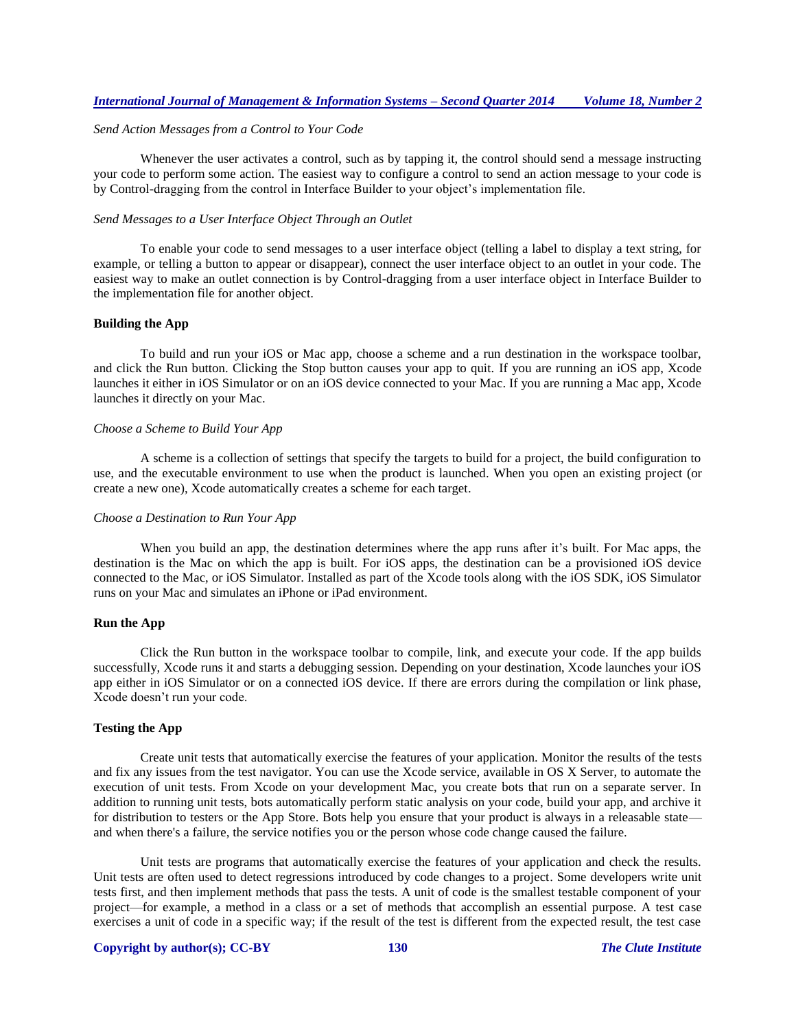## *Send Action Messages from a Control to Your Code*

Whenever the user activates a control, such as by tapping it, the control should send a message instructing your code to perform some action. The easiest way to configure a control to send an action message to your code is by Control-dragging from the control in Interface Builder to your object's implementation file.

#### *Send Messages to a User Interface Object Through an Outlet*

To enable your code to send messages to a user interface object (telling a label to display a text string, for example, or telling a button to appear or disappear), connect the user interface object to an outlet in your code. The easiest way to make an outlet connection is by Control-dragging from a user interface object in Interface Builder to the implementation file for another object.

# **Building the App**

To build and run your iOS or Mac app, choose a scheme and a run destination in the workspace toolbar, and click the Run button. Clicking the Stop button causes your app to quit. If you are running an iOS app, Xcode launches it either in iOS Simulator or on an iOS device connected to your Mac. If you are running a Mac app, Xcode launches it directly on your Mac.

## *Choose a Scheme to Build Your App*

A scheme is a collection of settings that specify the targets to build for a project, the build configuration to use, and the executable environment to use when the product is launched. When you open an existing project (or create a new one), Xcode automatically creates a scheme for each target.

#### *Choose a Destination to Run Your App*

When you build an app, the destination determines where the app runs after it's built. For Mac apps, the destination is the Mac on which the app is built. For iOS apps, the destination can be a provisioned iOS device connected to the Mac, or iOS Simulator. Installed as part of the Xcode tools along with the iOS SDK, iOS Simulator runs on your Mac and simulates an iPhone or iPad environment.

## **Run the App**

Click the Run button in the workspace toolbar to compile, link, and execute your code. If the app builds successfully, Xcode runs it and starts a debugging session. Depending on your destination, Xcode launches your iOS app either in iOS Simulator or on a connected iOS device. If there are errors during the compilation or link phase, Xcode doesn't run your code.

# **Testing the App**

Create unit tests that automatically exercise the features of your application. Monitor the results of the tests and fix any issues from the test navigator. You can use the Xcode service, available in OS X Server, to automate the execution of unit tests. From Xcode on your development Mac, you create bots that run on a separate server. In addition to running unit tests, bots automatically perform static analysis on your code, build your app, and archive it for distribution to testers or the App Store. Bots help you ensure that your product is always in a releasable state and when there's a failure, the service notifies you or the person whose code change caused the failure.

Unit tests are programs that automatically exercise the features of your application and check the results. Unit tests are often used to detect regressions introduced by code changes to a project. Some developers write unit tests first, and then implement methods that pass the tests. A unit of code is the smallest testable component of your project—for example, a method in a class or a set of methods that accomplish an essential purpose. A test case exercises a unit of code in a specific way; if the result of the test is different from the expected result, the test case

## **Copyright by author(s); CC-BY 130** *The Clute Institute*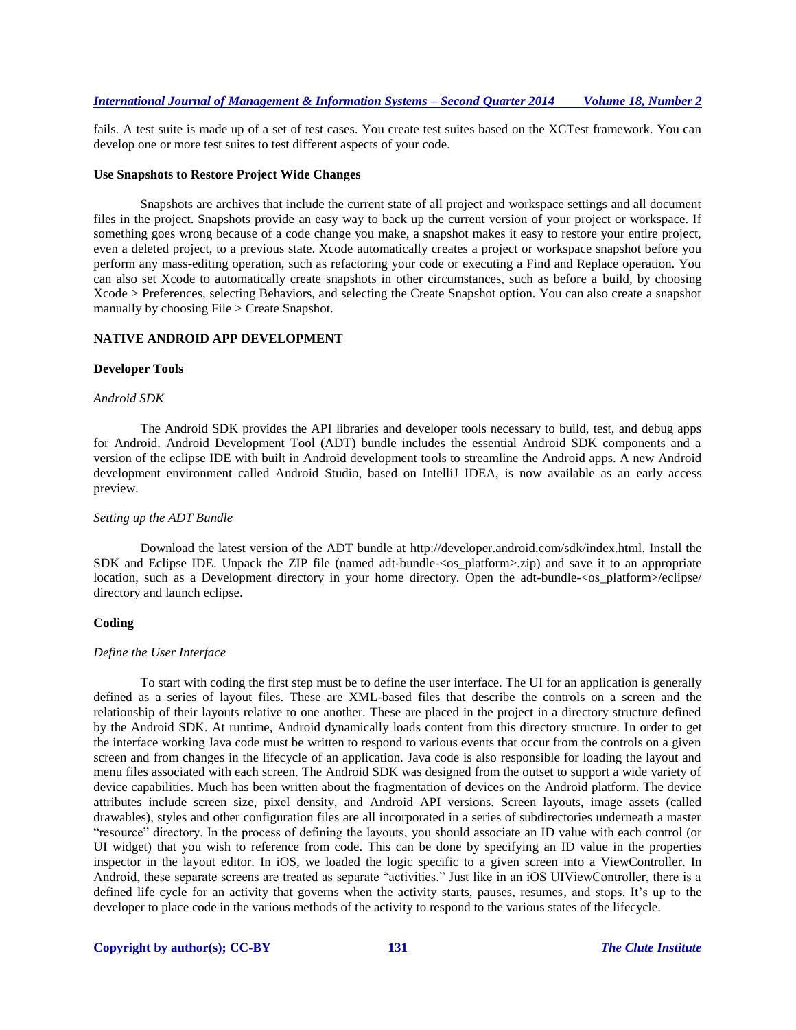fails. A test suite is made up of a set of test cases. You create test suites based on the XCTest framework. You can develop one or more test suites to test different aspects of your code.

#### **Use Snapshots to Restore Project Wide Changes**

Snapshots are archives that include the current state of all project and workspace settings and all document files in the project. Snapshots provide an easy way to back up the current version of your project or workspace. If something goes wrong because of a code change you make, a snapshot makes it easy to restore your entire project, even a deleted project, to a previous state. Xcode automatically creates a project or workspace snapshot before you perform any mass-editing operation, such as refactoring your code or executing a Find and Replace operation. You can also set Xcode to automatically create snapshots in other circumstances, such as before a build, by choosing Xcode > Preferences, selecting Behaviors, and selecting the Create Snapshot option. You can also create a snapshot manually by choosing File > Create Snapshot.

## **NATIVE ANDROID APP DEVELOPMENT**

#### **Developer Tools**

#### *Android SDK*

The Android SDK provides the API libraries and developer tools necessary to build, test, and debug apps for Android. Android Development Tool (ADT) bundle includes the essential Android SDK components and a version of the eclipse IDE with built in Android development tools to streamline the Android apps. A new Android development environment called Android Studio, based on IntelliJ IDEA, is now available as an early access preview.

#### *Setting up the ADT Bundle*

Download the latest version of the ADT bundle at http://developer.android.com/sdk/index.html. Install the SDK and Eclipse IDE. Unpack the ZIP file (named adt-bundle-<os\_platform>.zip) and save it to an appropriate location, such as a Development directory in your home directory. Open the adt-bundle-<os\_platform>/eclipse/ directory and launch eclipse.

#### **Coding**

#### *Define the User Interface*

To start with coding the first step must be to define the user interface. The UI for an application is generally defined as a series of layout files. These are XML-based files that describe the controls on a screen and the relationship of their layouts relative to one another. These are placed in the project in a directory structure defined by the Android SDK. At runtime, Android dynamically loads content from this directory structure. In order to get the interface working Java code must be written to respond to various events that occur from the controls on a given screen and from changes in the lifecycle of an application. Java code is also responsible for loading the layout and menu files associated with each screen. The Android SDK was designed from the outset to support a wide variety of device capabilities. Much has been written about the fragmentation of devices on the Android platform. The device attributes include screen size, pixel density, and Android API versions. Screen layouts, image assets (called drawables), styles and other configuration files are all incorporated in a series of subdirectories underneath a master "resource" directory. In the process of defining the layouts, you should associate an ID value with each control (or UI widget) that you wish to reference from code. This can be done by specifying an ID value in the properties inspector in the layout editor. In iOS, we loaded the logic specific to a given screen into a ViewController. In Android, these separate screens are treated as separate "activities." Just like in an iOS UIViewController, there is a defined life cycle for an activity that governs when the activity starts, pauses, resumes, and stops. It's up to the developer to place code in the various methods of the activity to respond to the various states of the lifecycle.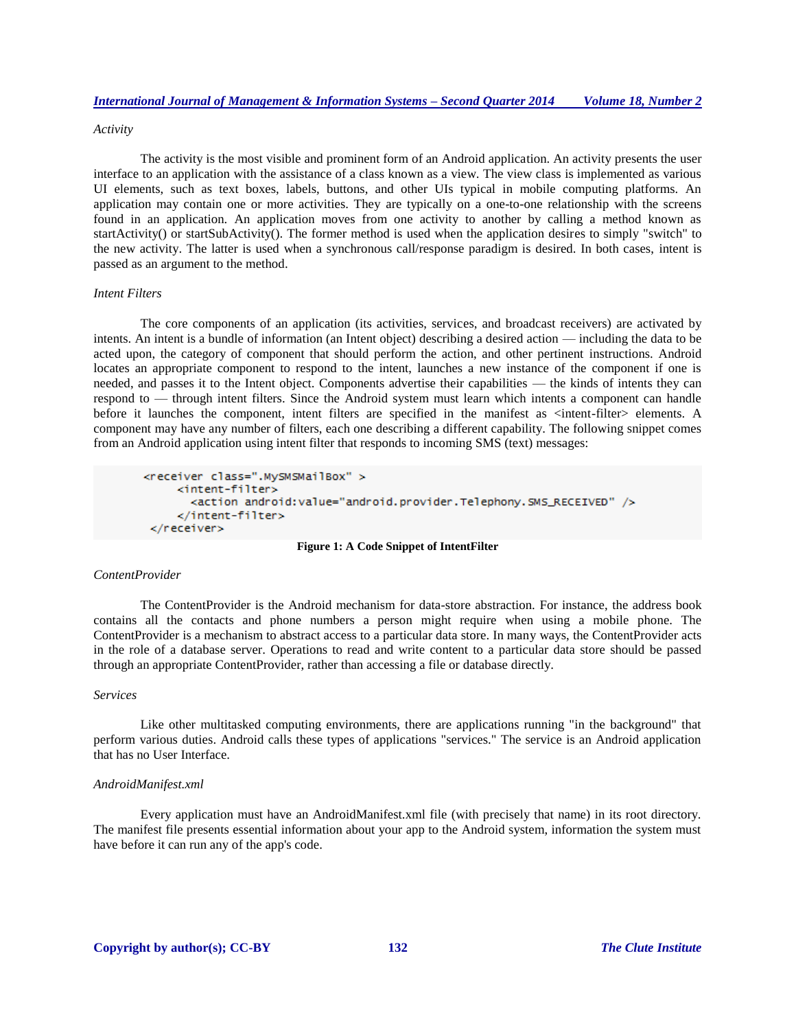## *Activity*

The activity is the most visible and prominent form of an Android application. An activity presents the user interface to an application with the assistance of a class known as a view. The view class is implemented as various UI elements, such as text boxes, labels, buttons, and other UIs typical in mobile computing platforms. An application may contain one or more activities. They are typically on a one-to-one relationship with the screens found in an application. An application moves from one activity to another by calling a method known as startActivity() or startSubActivity(). The former method is used when the application desires to simply "switch" to the new activity. The latter is used when a synchronous call/response paradigm is desired. In both cases, intent is passed as an argument to the method.

# *Intent Filters*

The core components of an application (its activities, services, and broadcast receivers) are activated by intents. An intent is a bundle of information (an Intent object) describing a desired action — including the data to be acted upon, the category of component that should perform the action, and other pertinent instructions. Android locates an appropriate component to respond to the intent, launches a new instance of the component if one is needed, and passes it to the Intent object. Components advertise their capabilities — the kinds of intents they can respond to — through intent filters. Since the Android system must learn which intents a component can handle before it launches the component, intent filters are specified in the manifest as <intent-filter> elements. A component may have any number of filters, each one describing a different capability. The following snippet comes from an Android application using intent filter that responds to incoming SMS (text) messages:

```
<receiver class=".MySMSMailBox" >
    <intent-filter>
      <action android:value="android.provider.Telephony.SMS_RECEIVED" />
    </intent-filter>
 </receiver>
```
## **Figure 1: A Code Snippet of IntentFilter**

# *ContentProvider*

The ContentProvider is the Android mechanism for data-store abstraction. For instance, the address book contains all the contacts and phone numbers a person might require when using a mobile phone. The ContentProvider is a mechanism to abstract access to a particular data store. In many ways, the ContentProvider acts in the role of a database server. Operations to read and write content to a particular data store should be passed through an appropriate ContentProvider, rather than accessing a file or database directly.

# *Services*

Like other multitasked computing environments, there are applications running "in the background" that perform various duties. Android calls these types of applications "services." The service is an Android application that has no User Interface.

#### *AndroidManifest.xml*

Every application must have an AndroidManifest.xml file (with precisely that name) in its root directory. The manifest file presents essential information about your app to the Android system, information the system must have before it can run any of the app's code.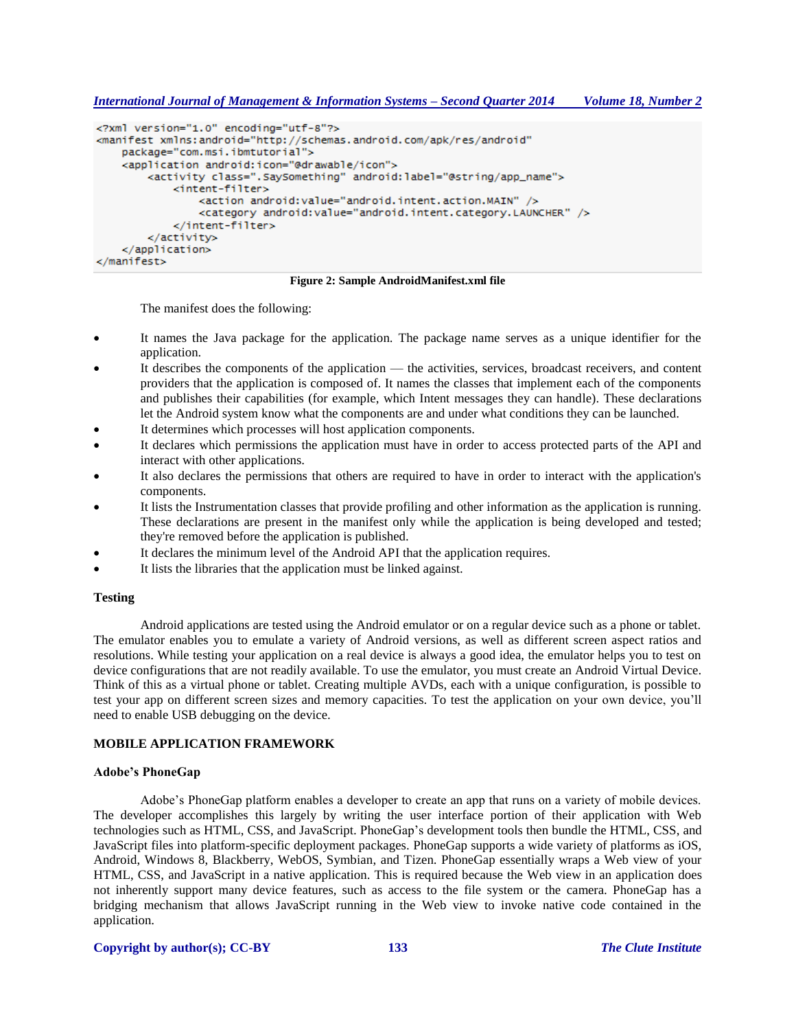*International Journal of Management & Information Systems – Second Quarter 2014 Volume 18, Number 2*

```
<?xml version="1.0" encoding="utf-8"?>
<manifest xmlns:android="http://schemas.android.com/apk/res/android"
    package="com.msi.ibmtutorial">
    <application android:icon="@drawable/icon">
        <activity class=".SaySomething" android:label="@string/app_name">
            <intent-filter>
                <action android: value="android.intent.action.MAIN" />
                <category android:value="android.intent.category.LAUNCHER" />
            </intent-filter>
        </activity>
    </application>
</manifest>
```
**Figure 2: Sample AndroidManifest.xml file**

The manifest does the following:

- It names the Java package for the application. The package name serves as a unique identifier for the application.
- It describes the components of the application the activities, services, broadcast receivers, and content providers that the application is composed of. It names the classes that implement each of the components and publishes their capabilities (for example, which Intent messages they can handle). These declarations let the Android system know what the components are and under what conditions they can be launched.
- It determines which processes will host application components.
- It declares which permissions the application must have in order to access protected parts of the API and interact with other applications.
- It also declares the permissions that others are required to have in order to interact with the application's components.
- It lists the Instrumentation classes that provide profiling and other information as the application is running. These declarations are present in the manifest only while the application is being developed and tested; they're removed before the application is published.
- It declares the minimum level of the Android API that the application requires.
- It lists the libraries that the application must be linked against.

# **Testing**

Android applications are tested using the Android emulator or on a regular device such as a phone or tablet. The emulator enables you to emulate a variety of Android versions, as well as different screen aspect ratios and resolutions. While testing your application on a real device is always a good idea, the emulator helps you to test on device configurations that are not readily available. To use the emulator, you must create an Android Virtual Device. Think of this as a virtual phone or tablet. Creating multiple AVDs, each with a unique configuration, is possible to test your app on different screen sizes and memory capacities. To test the application on your own device, you'll need to enable USB debugging on the device.

# **MOBILE APPLICATION FRAMEWORK**

# **Adobe's PhoneGap**

Adobe's PhoneGap platform enables a developer to create an app that runs on a variety of mobile devices. The developer accomplishes this largely by writing the user interface portion of their application with Web technologies such as HTML, CSS, and JavaScript. PhoneGap's development tools then bundle the HTML, CSS, and JavaScript files into platform-specific deployment packages. PhoneGap supports a wide variety of platforms as iOS, Android, Windows 8, Blackberry, WebOS, Symbian, and Tizen. PhoneGap essentially wraps a Web view of your HTML, CSS, and JavaScript in a native application. This is required because the Web view in an application does not inherently support many device features, such as access to the file system or the camera. PhoneGap has a bridging mechanism that allows JavaScript running in the Web view to invoke native code contained in the application.

# **Copyright by author(s); CC-BY 133** *The Clute Institute*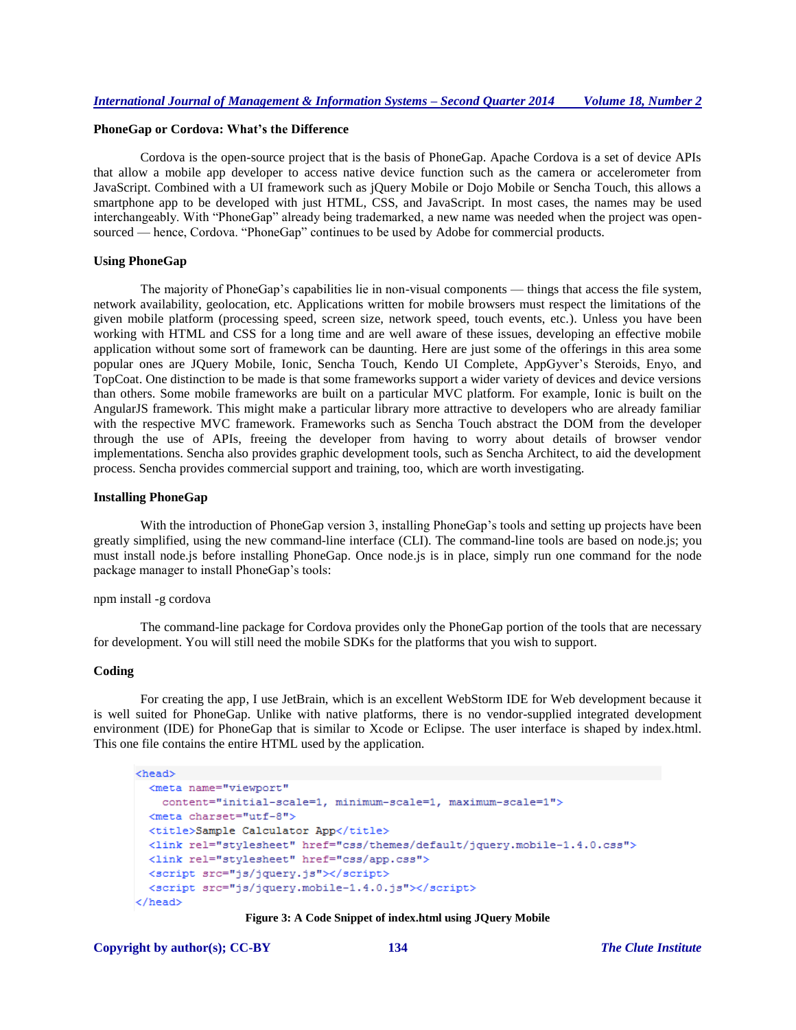# **PhoneGap or Cordova: What's the Difference**

Cordova is the open-source project that is the basis of PhoneGap. Apache Cordova is a set of device APIs that allow a mobile app developer to access native device function such as the camera or accelerometer from JavaScript. Combined with a UI framework such as jQuery Mobile or Dojo Mobile or Sencha Touch, this allows a smartphone app to be developed with just HTML, CSS, and JavaScript. In most cases, the names may be used interchangeably. With "PhoneGap" already being trademarked, a new name was needed when the project was opensourced — hence, Cordova. "PhoneGap" continues to be used by Adobe for commercial products.

#### **Using PhoneGap**

The majority of PhoneGap's capabilities lie in non-visual components — things that access the file system, network availability, geolocation, etc. Applications written for mobile browsers must respect the limitations of the given mobile platform (processing speed, screen size, network speed, touch events, etc.). Unless you have been working with HTML and CSS for a long time and are well aware of these issues, developing an effective mobile application without some sort of framework can be daunting. Here are just some of the offerings in this area some popular ones are JQuery Mobile, Ionic, Sencha Touch, Kendo UI Complete, AppGyver's Steroids, Enyo, and TopCoat. One distinction to be made is that some frameworks support a wider variety of devices and device versions than others. Some mobile frameworks are built on a particular MVC platform. For example, Ionic is built on the AngularJS framework. This might make a particular library more attractive to developers who are already familiar with the respective MVC framework. Frameworks such as Sencha Touch abstract the DOM from the developer through the use of APIs, freeing the developer from having to worry about details of browser vendor implementations. Sencha also provides graphic development tools, such as Sencha Architect, to aid the development process. Sencha provides commercial support and training, too, which are worth investigating.

## **Installing PhoneGap**

With the introduction of PhoneGap version 3, installing PhoneGap's tools and setting up projects have been greatly simplified, using the new command-line interface (CLI). The command-line tools are based on node.js; you must install node.js before installing PhoneGap. Once node.js is in place, simply run one command for the node package manager to install PhoneGap's tools:

# npm install -g cordova

The command-line package for Cordova provides only the PhoneGap portion of the tools that are necessary for development. You will still need the mobile SDKs for the platforms that you wish to support.

## **Coding**

For creating the app, I use JetBrain, which is an excellent WebStorm IDE for Web development because it is well suited for PhoneGap. Unlike with native platforms, there is no vendor-supplied integrated development environment (IDE) for PhoneGap that is similar to Xcode or Eclipse. The user interface is shaped by index.html. This one file contains the entire HTML used by the application.

```
<head>
```

```
<meta name="viewport"
   content="initial-scale=1, minimum-scale=1, maximum-scale=1">
 <meta charset="utf-8">
 <title>Sample Calculator App</title>
 <link rel="stylesheet" href="css/themes/default/jquery.mobile-1.4.0.css">
 <link rel="stylesheet" href="css/app.css">
 <script src="js/jquery.js"></script>
 <script src="js/jquery.mobile-1.4.0.js"></script>
</head>
```
#### **Figure 3: A Code Snippet of index.html using JQuery Mobile**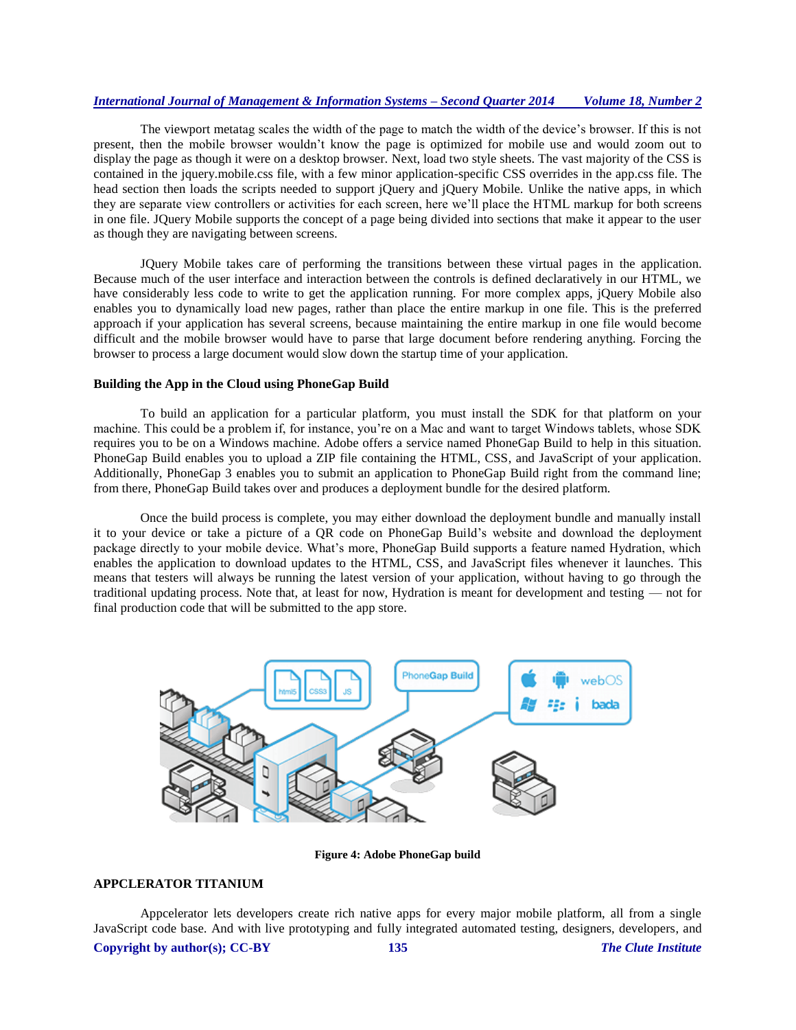The viewport metatag scales the width of the page to match the width of the device's browser. If this is not present, then the mobile browser wouldn't know the page is optimized for mobile use and would zoom out to display the page as though it were on a desktop browser. Next, load two style sheets. The vast majority of the CSS is contained in the jquery.mobile.css file, with a few minor application-specific CSS overrides in the app.css file. The head section then loads the scripts needed to support jQuery and jQuery Mobile. Unlike the native apps, in which they are separate view controllers or activities for each screen, here we'll place the HTML markup for both screens in one file. JQuery Mobile supports the concept of a page being divided into sections that make it appear to the user as though they are navigating between screens.

JQuery Mobile takes care of performing the transitions between these virtual pages in the application. Because much of the user interface and interaction between the controls is defined declaratively in our HTML, we have considerably less code to write to get the application running. For more complex apps, jQuery Mobile also enables you to dynamically load new pages, rather than place the entire markup in one file. This is the preferred approach if your application has several screens, because maintaining the entire markup in one file would become difficult and the mobile browser would have to parse that large document before rendering anything. Forcing the browser to process a large document would slow down the startup time of your application.

#### **Building the App in the Cloud using PhoneGap Build**

To build an application for a particular platform, you must install the SDK for that platform on your machine. This could be a problem if, for instance, you're on a Mac and want to target Windows tablets, whose SDK requires you to be on a Windows machine. Adobe offers a service named PhoneGap Build to help in this situation. PhoneGap Build enables you to upload a ZIP file containing the HTML, CSS, and JavaScript of your application. Additionally, PhoneGap 3 enables you to submit an application to PhoneGap Build right from the command line; from there, PhoneGap Build takes over and produces a deployment bundle for the desired platform.

Once the build process is complete, you may either download the deployment bundle and manually install it to your device or take a picture of a QR code on PhoneGap Build's website and download the deployment package directly to your mobile device. What's more, PhoneGap Build supports a feature named Hydration, which enables the application to download updates to the HTML, CSS, and JavaScript files whenever it launches. This means that testers will always be running the latest version of your application, without having to go through the traditional updating process. Note that, at least for now, Hydration is meant for development and testing — not for final production code that will be submitted to the app store.



**Figure 4: Adobe PhoneGap build**

# **APPCLERATOR TITANIUM**

**Copyright by author(s); CC-BY 135** *The Clute Institute* Appcelerator lets developers create rich native apps for every major mobile platform, all from a single JavaScript code base. And with live prototyping and fully integrated automated testing, designers, developers, and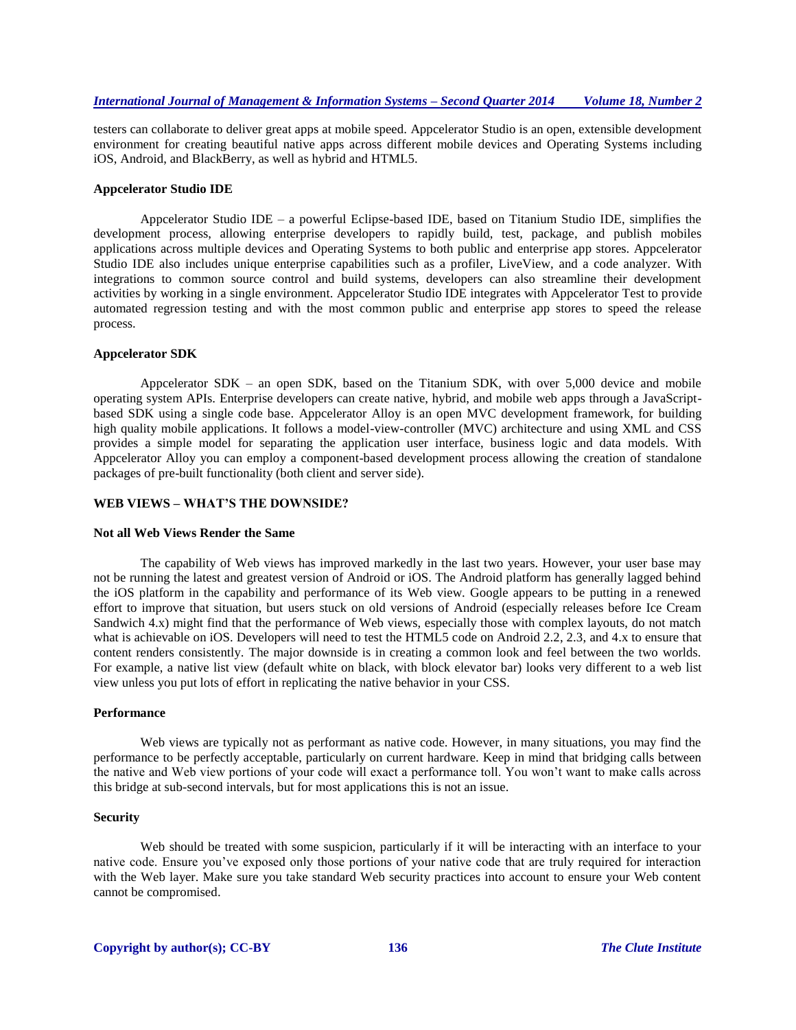testers can collaborate to deliver great apps at mobile speed. Appcelerator Studio is an open, extensible development environment for creating beautiful native apps across different mobile devices and Operating Systems including iOS, Android, and BlackBerry, as well as hybrid and HTML5.

#### **Appcelerator Studio IDE**

Appcelerator Studio IDE – a powerful Eclipse-based IDE, based on Titanium Studio IDE, simplifies the development process, allowing enterprise developers to rapidly build, test, package, and publish mobiles applications across multiple devices and Operating Systems to both public and enterprise app stores. Appcelerator Studio IDE also includes unique enterprise capabilities such as a profiler, LiveView, and a code analyzer. With integrations to common source control and build systems, developers can also streamline their development activities by working in a single environment. Appcelerator Studio IDE integrates with Appcelerator Test to provide automated regression testing and with the most common public and enterprise app stores to speed the release process.

## **Appcelerator SDK**

Appcelerator SDK – an open SDK, based on the Titanium SDK, with over 5,000 device and mobile operating system APIs. Enterprise developers can create native, hybrid, and mobile web apps through a JavaScriptbased SDK using a single code base. Appcelerator Alloy is an open MVC development framework, for building high quality mobile applications. It follows a model-view-controller (MVC) architecture and using XML and CSS provides a simple model for separating the application user interface, business logic and data models. With Appcelerator Alloy you can employ a component-based development process allowing the creation of standalone packages of pre-built functionality (both client and server side).

# **WEB VIEWS – WHAT'S THE DOWNSIDE?**

#### **Not all Web Views Render the Same**

The capability of Web views has improved markedly in the last two years. However, your user base may not be running the latest and greatest version of Android or iOS. The Android platform has generally lagged behind the iOS platform in the capability and performance of its Web view. Google appears to be putting in a renewed effort to improve that situation, but users stuck on old versions of Android (especially releases before Ice Cream Sandwich 4.x) might find that the performance of Web views, especially those with complex layouts, do not match what is achievable on iOS. Developers will need to test the HTML5 code on Android 2.2, 2.3, and 4.x to ensure that content renders consistently. The major downside is in creating a common look and feel between the two worlds. For example, a native list view (default white on black, with block elevator bar) looks very different to a web list view unless you put lots of effort in replicating the native behavior in your CSS.

### **Performance**

Web views are typically not as performant as native code. However, in many situations, you may find the performance to be perfectly acceptable, particularly on current hardware. Keep in mind that bridging calls between the native and Web view portions of your code will exact a performance toll. You won't want to make calls across this bridge at sub-second intervals, but for most applications this is not an issue.

#### **Security**

Web should be treated with some suspicion, particularly if it will be interacting with an interface to your native code. Ensure you've exposed only those portions of your native code that are truly required for interaction with the Web layer. Make sure you take standard Web security practices into account to ensure your Web content cannot be compromised.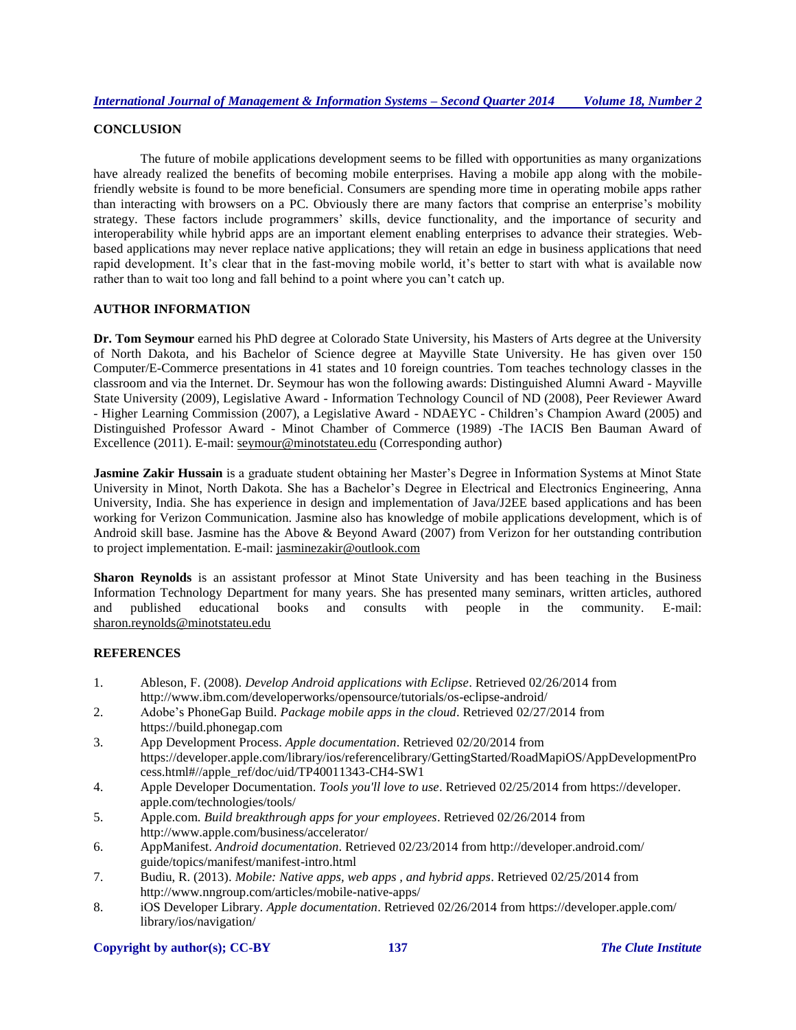# **CONCLUSION**

The future of mobile applications development seems to be filled with opportunities as many organizations have already realized the benefits of becoming mobile enterprises. Having a mobile app along with the mobilefriendly website is found to be more beneficial. Consumers are spending more time in operating mobile apps rather than interacting with browsers on a PC. Obviously there are many factors that comprise an enterprise's mobility strategy. These factors include programmers' skills, device functionality, and the importance of security and interoperability while hybrid apps are an important element enabling enterprises to advance their strategies. Webbased applications may never replace native applications; they will retain an edge in business applications that need rapid development. It's clear that in the fast-moving mobile world, it's better to start with what is available now rather than to wait too long and fall behind to a point where you can't catch up.

# **AUTHOR INFORMATION**

**Dr. Tom Seymour** earned his PhD degree at Colorado State University, his Masters of Arts degree at the University of North Dakota, and his Bachelor of Science degree at Mayville State University. He has given over 150 Computer/E-Commerce presentations in 41 states and 10 foreign countries. Tom teaches technology classes in the classroom and via the Internet. Dr. Seymour has won the following awards: Distinguished Alumni Award - Mayville State University (2009), Legislative Award - Information Technology Council of ND (2008), Peer Reviewer Award - Higher Learning Commission (2007), a Legislative Award - NDAEYC - Children's Champion Award (2005) and Distinguished Professor Award - Minot Chamber of Commerce (1989) -The IACIS Ben Bauman Award of Excellence (2011). E-mail: [seymour@minotstateu.edu](mailto:seymour@minotstateu.edu) (Corresponding author)

**Jasmine Zakir Hussain** is a graduate student obtaining her Master's Degree in Information Systems at Minot State University in Minot, North Dakota. She has a Bachelor's Degree in Electrical and Electronics Engineering, Anna University, India. She has experience in design and implementation of Java/J2EE based applications and has been working for Verizon Communication. Jasmine also has knowledge of mobile applications development, which is of Android skill base. Jasmine has the Above & Beyond Award (2007) from Verizon for her outstanding contribution to project implementation. E-mail: [jasminezakir@outlook.com](mailto:jasminezakir@outlook.com)

**Sharon Reynolds** is an assistant professor at Minot State University and has been teaching in the Business Information Technology Department for many years. She has presented many seminars, written articles, authored and published educational books and consults with people in the community. E-mail: [sharon.reynolds@minotstateu.edu](mailto:sharon.reynolds@minotstateu.edu)

# **REFERENCES**

- 1. Ableson, F. (2008). *Develop Android applications with Eclipse*. Retrieved 02/26/2014 from http://www.ibm.com/developerworks/opensource/tutorials/os-eclipse-android/
- 2. Adobe's PhoneGap Build. *Package mobile apps in the cloud*. Retrieved 02/27/2014 from https://build.phonegap.com
- 3. App Development Process. *Apple documentation*. Retrieved 02/20/2014 from https://developer.apple.com/library/ios/referencelibrary/GettingStarted/RoadMapiOS/AppDevelopmentPro cess.html#//apple\_ref/doc/uid/TP40011343-CH4-SW1
- 4. Apple Developer Documentation. *Tools you'll love to use*. Retrieved 02/25/2014 from https://developer. apple.com/technologies/tools/
- 5. Apple.com. *Build breakthrough apps for your employees*. Retrieved 02/26/2014 from http://www.apple.com/business/accelerator/
- 6. AppManifest. *Android documentation*. Retrieved 02/23/2014 from http://developer.android.com/ guide/topics/manifest/manifest-intro.html
- 7. Budiu, R. (2013). *Mobile: Native apps, web apps , and hybrid apps*. Retrieved 02/25/2014 from http://www.nngroup.com/articles/mobile-native-apps/
- 8. iOS Developer Library. *Apple documentation*. Retrieved 02/26/2014 from https://developer.apple.com/ library/ios/navigation/

# **Copyright by author(s); CC-BY 137** *The Clute Institute*